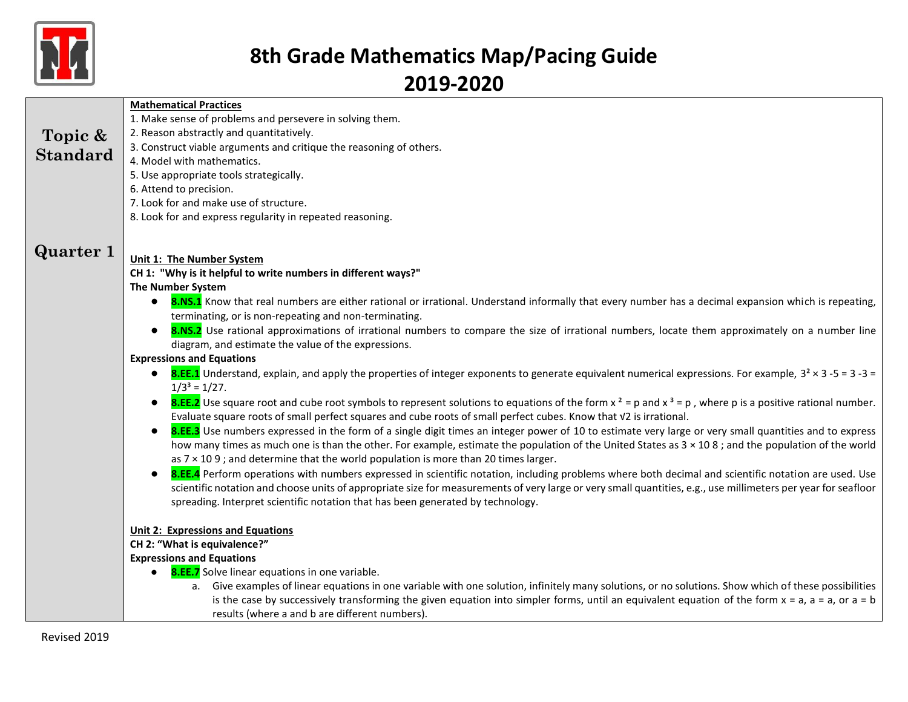

|                  | <b>Mathematical Practices</b>                                                                                                                                                                                                                                                                          |
|------------------|--------------------------------------------------------------------------------------------------------------------------------------------------------------------------------------------------------------------------------------------------------------------------------------------------------|
|                  | 1. Make sense of problems and persevere in solving them.                                                                                                                                                                                                                                               |
| Topic &          | 2. Reason abstractly and quantitatively.                                                                                                                                                                                                                                                               |
|                  | 3. Construct viable arguments and critique the reasoning of others.                                                                                                                                                                                                                                    |
| <b>Standard</b>  | 4. Model with mathematics.                                                                                                                                                                                                                                                                             |
|                  | 5. Use appropriate tools strategically.                                                                                                                                                                                                                                                                |
|                  | 6. Attend to precision.                                                                                                                                                                                                                                                                                |
|                  | 7. Look for and make use of structure.                                                                                                                                                                                                                                                                 |
|                  | 8. Look for and express regularity in repeated reasoning.                                                                                                                                                                                                                                              |
|                  |                                                                                                                                                                                                                                                                                                        |
| <b>Quarter 1</b> | Unit 1: The Number System                                                                                                                                                                                                                                                                              |
|                  | CH 1: "Why is it helpful to write numbers in different ways?"                                                                                                                                                                                                                                          |
|                  | <b>The Number System</b>                                                                                                                                                                                                                                                                               |
|                  | 8.NS.1 Know that real numbers are either rational or irrational. Understand informally that every number has a decimal expansion which is repeating,                                                                                                                                                   |
|                  | terminating, or is non-repeating and non-terminating.                                                                                                                                                                                                                                                  |
|                  | 8.NS.2 Use rational approximations of irrational numbers to compare the size of irrational numbers, locate them approximately on a number line<br>$\bullet$                                                                                                                                            |
|                  | diagram, and estimate the value of the expressions.                                                                                                                                                                                                                                                    |
|                  | <b>Expressions and Equations</b>                                                                                                                                                                                                                                                                       |
|                  | <b>8.EE.1</b> Understand, explain, and apply the properties of integer exponents to generate equivalent numerical expressions. For example, $3^2 \times 3 - 5 = 3 - 3 = 1$<br>$1/3^3 = 1/27$ .                                                                                                         |
|                  | <b>8.EE.2</b> Use square root and cube root symbols to represent solutions to equations of the form $x^2 = p$ and $x^3 = p$ , where p is a positive rational number.<br>$\bullet$<br>Evaluate square roots of small perfect squares and cube roots of small perfect cubes. Know that V2 is irrational. |
|                  | 8.EE.3 Use numbers expressed in the form of a single digit times an integer power of 10 to estimate very large or very small quantities and to express<br>$\bullet$                                                                                                                                    |
|                  | how many times as much one is than the other. For example, estimate the population of the United States as 3 × 108; and the population of the world<br>as $7 \times 109$ ; and determine that the world population is more than 20 times larger.                                                       |
|                  | 8.EE.4 Perform operations with numbers expressed in scientific notation, including problems where both decimal and scientific notation are used. Use<br>$\bullet$                                                                                                                                      |
|                  | scientific notation and choose units of appropriate size for measurements of very large or very small quantities, e.g., use millimeters per year for seafloor                                                                                                                                          |
|                  | spreading. Interpret scientific notation that has been generated by technology.                                                                                                                                                                                                                        |
|                  |                                                                                                                                                                                                                                                                                                        |
|                  | <b>Unit 2: Expressions and Equations</b>                                                                                                                                                                                                                                                               |
|                  | CH 2: "What is equivalence?"                                                                                                                                                                                                                                                                           |
|                  | <b>Expressions and Equations</b>                                                                                                                                                                                                                                                                       |
|                  | <b>8.EE.7</b> Solve linear equations in one variable.                                                                                                                                                                                                                                                  |
|                  | a. Give examples of linear equations in one variable with one solution, infinitely many solutions, or no solutions. Show which of these possibilities                                                                                                                                                  |
|                  | is the case by successively transforming the given equation into simpler forms, until an equivalent equation of the form $x = a$ , $a = a$ , or $a = b$                                                                                                                                                |
|                  | results (where a and b are different numbers).                                                                                                                                                                                                                                                         |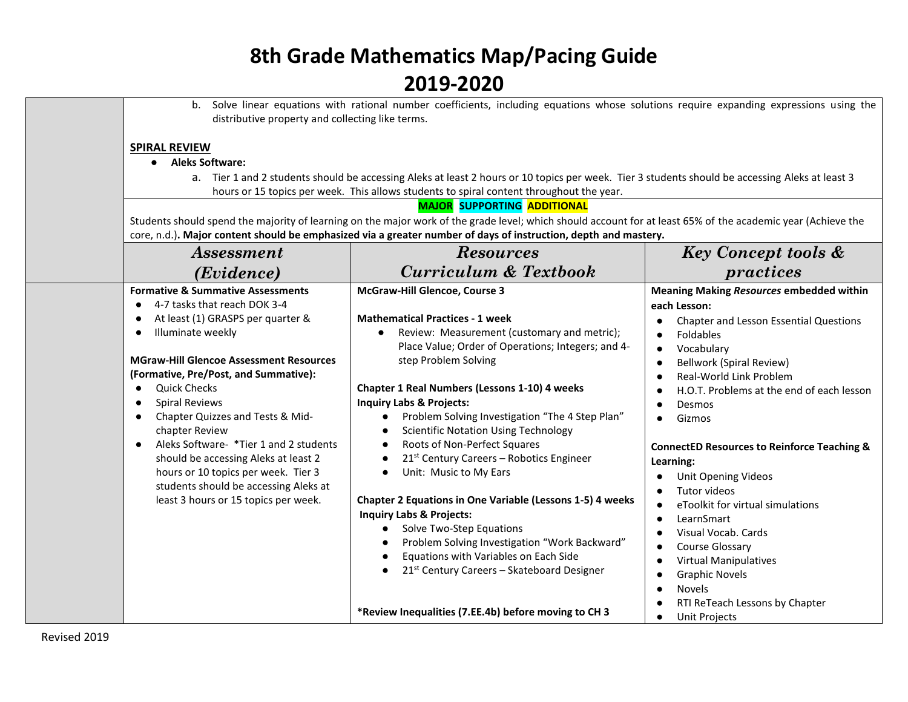| b.<br>distributive property and collecting like terms.                                                                                                                                                                                                                                                                                                                                                                                                                                                                                                                                                                                       | Solve linear equations with rational number coefficients, including equations whose solutions require expanding expressions using the                                                                                                                                                                                                                                                                                                                                                                                                                                                                                                                                                                                                                                                                                                                                    |                                                                                                                                                                                                                                                                                                                                                                                                                                                                                                                                                                                                                                                                                                                                          |
|----------------------------------------------------------------------------------------------------------------------------------------------------------------------------------------------------------------------------------------------------------------------------------------------------------------------------------------------------------------------------------------------------------------------------------------------------------------------------------------------------------------------------------------------------------------------------------------------------------------------------------------------|--------------------------------------------------------------------------------------------------------------------------------------------------------------------------------------------------------------------------------------------------------------------------------------------------------------------------------------------------------------------------------------------------------------------------------------------------------------------------------------------------------------------------------------------------------------------------------------------------------------------------------------------------------------------------------------------------------------------------------------------------------------------------------------------------------------------------------------------------------------------------|------------------------------------------------------------------------------------------------------------------------------------------------------------------------------------------------------------------------------------------------------------------------------------------------------------------------------------------------------------------------------------------------------------------------------------------------------------------------------------------------------------------------------------------------------------------------------------------------------------------------------------------------------------------------------------------------------------------------------------------|
| <b>SPIRAL REVIEW</b><br>• Aleks Software:                                                                                                                                                                                                                                                                                                                                                                                                                                                                                                                                                                                                    | a. Tier 1 and 2 students should be accessing Aleks at least 2 hours or 10 topics per week. Tier 3 students should be accessing Aleks at least 3<br>hours or 15 topics per week. This allows students to spiral content throughout the year.<br><b>MAJOR SUPPORTING ADDITIONAL</b><br>Students should spend the majority of learning on the major work of the grade level; which should account for at least 65% of the academic year (Achieve the                                                                                                                                                                                                                                                                                                                                                                                                                        |                                                                                                                                                                                                                                                                                                                                                                                                                                                                                                                                                                                                                                                                                                                                          |
| <i>Assessment</i>                                                                                                                                                                                                                                                                                                                                                                                                                                                                                                                                                                                                                            | core, n.d.). Major content should be emphasized via a greater number of days of instruction, depth and mastery.<br><b>Resources</b>                                                                                                                                                                                                                                                                                                                                                                                                                                                                                                                                                                                                                                                                                                                                      | <b>Key Concept tools &amp;</b>                                                                                                                                                                                                                                                                                                                                                                                                                                                                                                                                                                                                                                                                                                           |
| (Evidence)                                                                                                                                                                                                                                                                                                                                                                                                                                                                                                                                                                                                                                   | <b>Curriculum &amp; Textbook</b>                                                                                                                                                                                                                                                                                                                                                                                                                                                                                                                                                                                                                                                                                                                                                                                                                                         | practices                                                                                                                                                                                                                                                                                                                                                                                                                                                                                                                                                                                                                                                                                                                                |
| <b>Formative &amp; Summative Assessments</b><br>4-7 tasks that reach DOK 3-4<br>$\bullet$<br>At least (1) GRASPS per quarter &<br>$\bullet$<br>Illuminate weekly<br>$\bullet$<br><b>MGraw-Hill Glencoe Assessment Resources</b><br>(Formative, Pre/Post, and Summative):<br><b>Quick Checks</b><br>$\bullet$<br><b>Spiral Reviews</b><br>$\bullet$<br>Chapter Quizzes and Tests & Mid-<br>$\bullet$<br>chapter Review<br>Aleks Software- *Tier 1 and 2 students<br>$\bullet$<br>should be accessing Aleks at least 2<br>hours or 10 topics per week. Tier 3<br>students should be accessing Aleks at<br>least 3 hours or 15 topics per week. | McGraw-Hill Glencoe, Course 3<br><b>Mathematical Practices - 1 week</b><br>Review: Measurement (customary and metric);<br>Place Value; Order of Operations; Integers; and 4-<br>step Problem Solving<br><b>Chapter 1 Real Numbers (Lessons 1-10) 4 weeks</b><br><b>Inquiry Labs &amp; Projects:</b><br>Problem Solving Investigation "The 4 Step Plan"<br>$\bullet$<br><b>Scientific Notation Using Technology</b><br>$\bullet$<br>Roots of Non-Perfect Squares<br>$\bullet$<br>21st Century Careers - Robotics Engineer<br>$\bullet$<br>Unit: Music to My Ears<br>$\bullet$<br><b>Chapter 2 Equations in One Variable (Lessons 1-5) 4 weeks</b><br><b>Inquiry Labs &amp; Projects:</b><br>Solve Two-Step Equations<br>$\bullet$<br>Problem Solving Investigation "Work Backward"<br>Equations with Variables on Each Side<br>21st Century Careers - Skateboard Designer | <b>Meaning Making Resources embedded within</b><br>each Lesson:<br>Chapter and Lesson Essential Questions<br>Foldables<br>$\bullet$<br>Vocabulary<br>$\bullet$<br><b>Bellwork (Spiral Review)</b><br>$\bullet$<br>Real-World Link Problem<br>H.O.T. Problems at the end of each lesson<br>Desmos<br>$\bullet$<br>Gizmos<br>$\bullet$<br><b>ConnectED Resources to Reinforce Teaching &amp;</b><br>Learning:<br>Unit Opening Videos<br>Tutor videos<br>eToolkit for virtual simulations<br>$\bullet$<br>LearnSmart<br>$\bullet$<br>Visual Vocab. Cards<br>Course Glossary<br>$\bullet$<br><b>Virtual Manipulatives</b><br>$\bullet$<br><b>Graphic Novels</b><br>$\bullet$<br><b>Novels</b><br>$\bullet$<br>RTI ReTeach Lessons by Chapter |
|                                                                                                                                                                                                                                                                                                                                                                                                                                                                                                                                                                                                                                              | *Review Inequalities (7.EE.4b) before moving to CH 3                                                                                                                                                                                                                                                                                                                                                                                                                                                                                                                                                                                                                                                                                                                                                                                                                     | <b>Unit Projects</b><br>$\bullet$                                                                                                                                                                                                                                                                                                                                                                                                                                                                                                                                                                                                                                                                                                        |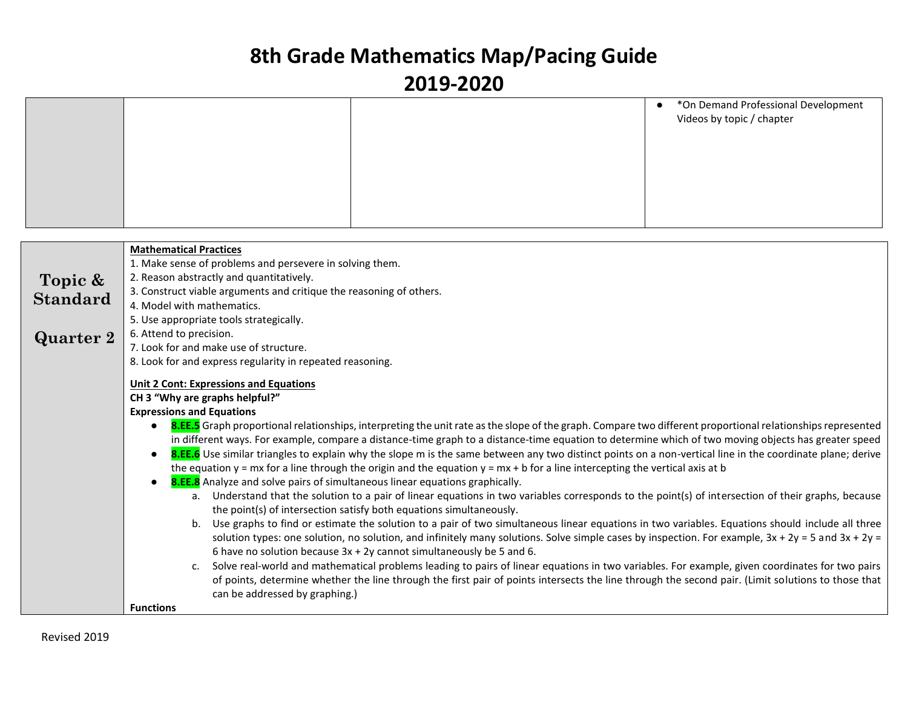|  | *On Demand Professional Development<br>$\bullet$<br>Videos by topic / chapter |
|--|-------------------------------------------------------------------------------|
|  |                                                                               |
|  |                                                                               |
|  |                                                                               |

|                  | <b>Mathematical Practices</b>                                                                                                                               |
|------------------|-------------------------------------------------------------------------------------------------------------------------------------------------------------|
|                  | 1. Make sense of problems and persevere in solving them.                                                                                                    |
| Topic &          | 2. Reason abstractly and quantitatively.                                                                                                                    |
| <b>Standard</b>  | 3. Construct viable arguments and critique the reasoning of others.                                                                                         |
|                  | 4. Model with mathematics.                                                                                                                                  |
|                  | 5. Use appropriate tools strategically.                                                                                                                     |
| <b>Quarter 2</b> | 6. Attend to precision.                                                                                                                                     |
|                  | 7. Look for and make use of structure.                                                                                                                      |
|                  | 8. Look for and express regularity in repeated reasoning.                                                                                                   |
|                  | <b>Unit 2 Cont: Expressions and Equations</b>                                                                                                               |
|                  | CH 3 "Why are graphs helpful?"                                                                                                                              |
|                  | <b>Expressions and Equations</b>                                                                                                                            |
|                  | 8.EE.5 Graph proportional relationships, interpreting the unit rate as the slope of the graph. Compare two different proportional relationships represented |
|                  | in different ways. For example, compare a distance-time graph to a distance-time equation to determine which of two moving objects has greater speed        |
|                  | 8.EE.6 Use similar triangles to explain why the slope m is the same between any two distinct points on a non-vertical line in the coordinate plane; derive  |
|                  | the equation $y = mx$ for a line through the origin and the equation $y = mx + b$ for a line intercepting the vertical axis at b                            |
|                  | 8.EE.8 Analyze and solve pairs of simultaneous linear equations graphically.                                                                                |
|                  | a. Understand that the solution to a pair of linear equations in two variables corresponds to the point(s) of intersection of their graphs, because         |
|                  | the point(s) of intersection satisfy both equations simultaneously.                                                                                         |
|                  | Use graphs to find or estimate the solution to a pair of two simultaneous linear equations in two variables. Equations should include all three<br>b.       |
|                  | solution types: one solution, no solution, and infinitely many solutions. Solve simple cases by inspection. For example, $3x + 2y = 5$ and $3x + 2y = 5$    |
|                  | 6 have no solution because $3x + 2y$ cannot simultaneously be 5 and 6.                                                                                      |
|                  | Solve real-world and mathematical problems leading to pairs of linear equations in two variables. For example, given coordinates for two pairs<br>c.        |
|                  | of points, determine whether the line through the first pair of points intersects the line through the second pair. (Limit solutions to those that          |
|                  | can be addressed by graphing.)                                                                                                                              |
|                  | <b>Functions</b>                                                                                                                                            |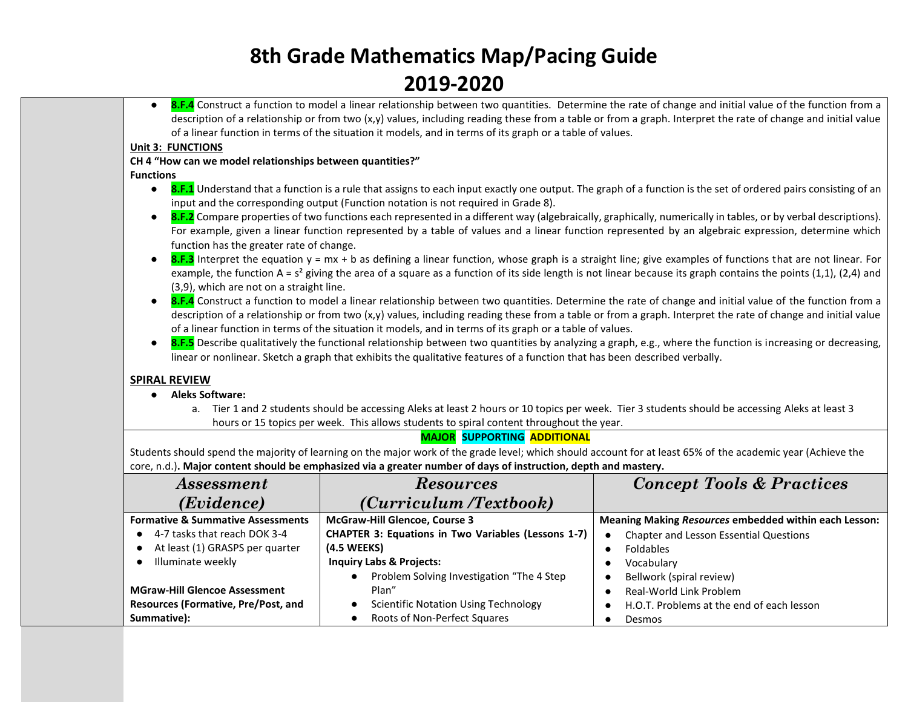● **8.F.4** Construct a function to model a linear relationship between two quantities. Determine the rate of change and initial value of the function from a description of a relationship or from two (x,y) values, including reading these from a table or from a graph. Interpret the rate of change and initial value of a linear function in terms of the situation it models, and in terms of its graph or a table of values.

#### **Unit 3: FUNCTIONS**

#### **CH 4 "How can we model relationships between quantities?"**

**Functions**

- **8.F.1** Understand that a function is a rule that assigns to each input exactly one output. The graph of a function is the set of ordered pairs consisting of an input and the corresponding output (Function notation is not required in Grade 8).
- **8.F.2** Compare properties of two functions each represented in a different way (algebraically, graphically, numerically in tables, or by verbal descriptions). For example, given a linear function represented by a table of values and a linear function represented by an algebraic expression, determine which function has the greater rate of change.
- 8.F.3 Interpret the equation y = mx + b as defining a linear function, whose graph is a straight line; give examples of functions that are not linear. For example, the function A = s<sup>2</sup> giving the area of a square as a function of its side length is not linear because its graph contains the points (1,1), (2,4) and (3,9), which are not on a straight line.
- **8.F.4** Construct a function to model a linear relationship between two quantities. Determine the rate of change and initial value of the function from a description of a relationship or from two (x,y) values, including reading these from a table or from a graph. Interpret the rate of change and initial value of a linear function in terms of the situation it models, and in terms of its graph or a table of values.
- **8.F.5** Describe qualitatively the functional relationship between two quantities by analyzing a graph, e.g., where the function is increasing or decreasing, linear or nonlinear. Sketch a graph that exhibits the qualitative features of a function that has been described verbally.

#### **SPIRAL REVIEW**

- **Aleks Software:**
	- a. Tier 1 and 2 students should be accessing Aleks at least 2 hours or 10 topics per week. Tier 3 students should be accessing Aleks at least 3 hours or 15 topics per week. This allows students to spiral content throughout the year.

### **MAJOR SUPPORTING ADDITIONAL**

Students should spend the majority of learning on the major work of the grade level; which should account for at least 65% of the academic year (Achieve the core, n.d.)**. Major content should be emphasized via a greater number of days of instruction, depth and mastery.**

| <i>Assessment</i>                            | <b>Resources</b>                                           | <b>Concept Tools &amp; Practices</b>                         |
|----------------------------------------------|------------------------------------------------------------|--------------------------------------------------------------|
| (Evidence)                                   | (Curriculum /Textbook)                                     |                                                              |
| <b>Formative &amp; Summative Assessments</b> | <b>McGraw-Hill Glencoe, Course 3</b>                       | <b>Meaning Making Resources embedded within each Lesson:</b> |
| 4-7 tasks that reach DOK 3-4                 | <b>CHAPTER 3: Equations in Two Variables (Lessons 1-7)</b> | Chapter and Lesson Essential Questions<br>$\bullet$          |
| At least (1) GRASPS per quarter              | (4.5 WEEKS)                                                | Foldables                                                    |
| Illuminate weekly                            | <b>Inquiry Labs &amp; Projects:</b>                        | Vocabulary                                                   |
|                                              | Problem Solving Investigation "The 4 Step"<br>$\bullet$    | Bellwork (spiral review)<br>$\bullet$                        |
| <b>MGraw-Hill Glencoe Assessment</b>         | Plan"                                                      | Real-World Link Problem                                      |
| Resources (Formative, Pre/Post, and          | <b>Scientific Notation Using Technology</b>                | H.O.T. Problems at the end of each lesson                    |
| Summative):                                  | Roots of Non-Perfect Squares                               | Desmos                                                       |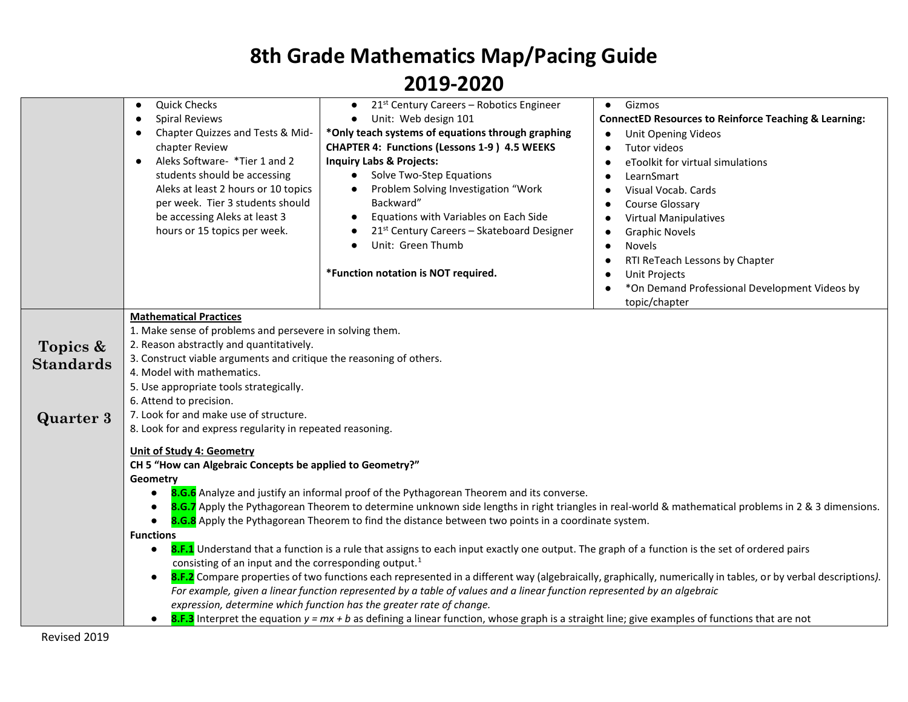|                                                  | <b>Quick Checks</b><br>$\bullet$<br><b>Spiral Reviews</b><br>$\bullet$<br>Chapter Quizzes and Tests & Mid-<br>$\bullet$<br>chapter Review<br>Aleks Software- *Tier 1 and 2<br>$\bullet$<br>students should be accessing<br>Aleks at least 2 hours or 10 topics<br>per week. Tier 3 students should<br>be accessing Aleks at least 3<br>hours or 15 topics per week. | 21 <sup>st</sup> Century Careers - Robotics Engineer<br>$\bullet$<br>Unit: Web design 101<br>*Only teach systems of equations through graphing<br><b>CHAPTER 4: Functions (Lessons 1-9) 4.5 WEEKS</b><br><b>Inquiry Labs &amp; Projects:</b><br>Solve Two-Step Equations<br>$\bullet$<br>Problem Solving Investigation "Work<br>$\bullet$<br>Backward"<br>Equations with Variables on Each Side<br>$\bullet$<br>21st Century Careers - Skateboard Designer<br>Unit: Green Thumb<br>$\bullet$<br>*Function notation is NOT required.                                                                                                                                                                            | Gizmos<br>$\bullet$<br><b>ConnectED Resources to Reinforce Teaching &amp; Learning:</b><br>Unit Opening Videos<br>Tutor videos<br>eToolkit for virtual simulations<br>LearnSmart<br>Visual Vocab. Cards<br>Course Glossary<br><b>Virtual Manipulatives</b><br><b>Graphic Novels</b><br><b>Novels</b><br>$\bullet$<br>RTI ReTeach Lessons by Chapter<br>$\bullet$<br><b>Unit Projects</b><br>*On Demand Professional Development Videos by<br>topic/chapter |
|--------------------------------------------------|---------------------------------------------------------------------------------------------------------------------------------------------------------------------------------------------------------------------------------------------------------------------------------------------------------------------------------------------------------------------|----------------------------------------------------------------------------------------------------------------------------------------------------------------------------------------------------------------------------------------------------------------------------------------------------------------------------------------------------------------------------------------------------------------------------------------------------------------------------------------------------------------------------------------------------------------------------------------------------------------------------------------------------------------------------------------------------------------|------------------------------------------------------------------------------------------------------------------------------------------------------------------------------------------------------------------------------------------------------------------------------------------------------------------------------------------------------------------------------------------------------------------------------------------------------------|
| Topics &<br><b>Standards</b><br><b>Quarter 3</b> | <b>Mathematical Practices</b><br>1. Make sense of problems and persevere in solving them.<br>2. Reason abstractly and quantitatively.<br>3. Construct viable arguments and critique the reasoning of others.<br>4. Model with mathematics.<br>5. Use appropriate tools strategically.<br>6. Attend to precision.<br>7. Look for and make use of structure.          |                                                                                                                                                                                                                                                                                                                                                                                                                                                                                                                                                                                                                                                                                                                |                                                                                                                                                                                                                                                                                                                                                                                                                                                            |
|                                                  | 8. Look for and express regularity in repeated reasoning.<br><b>Unit of Study 4: Geometry</b><br>CH 5 "How can Algebraic Concepts be applied to Geometry?"<br>Geometry<br>$\bullet$<br><b>Functions</b><br>$\bullet$<br>consisting of an input and the corresponding output. <sup>1</sup><br>$\bullet$                                                              | 8.G.6 Analyze and justify an informal proof of the Pythagorean Theorem and its converse.<br>8.G.8 Apply the Pythagorean Theorem to find the distance between two points in a coordinate system.<br>8.F.1 Understand that a function is a rule that assigns to each input exactly one output. The graph of a function is the set of ordered pairs<br>For example, given a linear function represented by a table of values and a linear function represented by an algebraic<br>expression, determine which function has the greater rate of change.<br><b>8.F.3</b> Interpret the equation $y = mx + b$ as defining a linear function, whose graph is a straight line; give examples of functions that are not | 8.G.7 Apply the Pythagorean Theorem to determine unknown side lengths in right triangles in real-world & mathematical problems in 2 & 3 dimensions.<br>8.F.2 Compare properties of two functions each represented in a different way (algebraically, graphically, numerically in tables, or by verbal descriptions).                                                                                                                                       |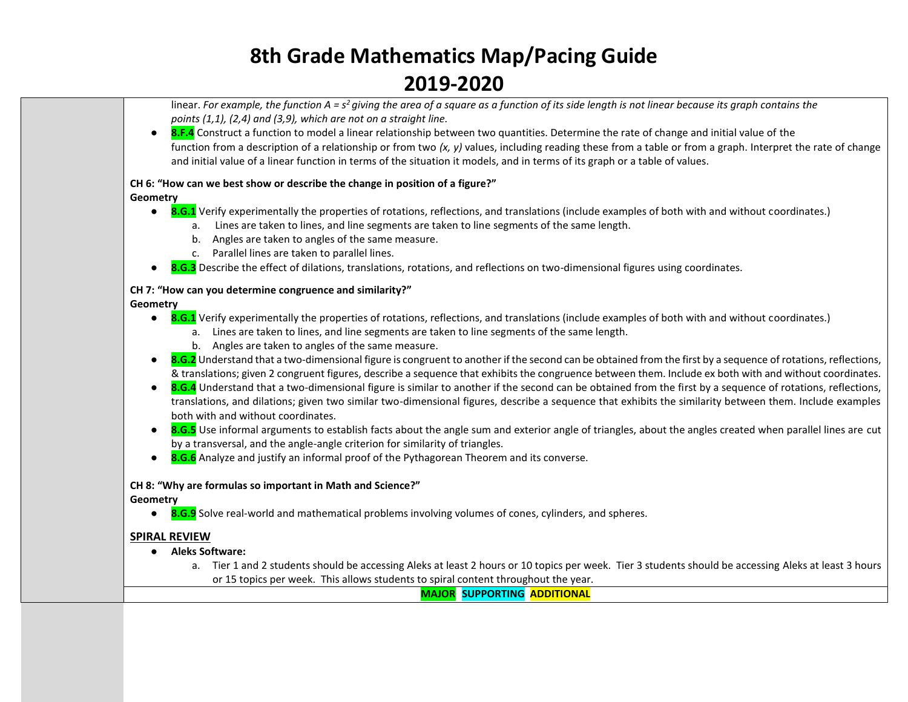linear. *For example, the function A = s<sup>2</sup>giving the area of a square as a function of its side length is not linear because its graph contains the points (1,1), (2,4) and (3,9), which are not on a straight line.*

● **8.F.4** Construct a function to model a linear relationship between two quantities. Determine the rate of change and initial value of the function from a description of a relationship or from two  $(x, y)$  values, including reading these from a table or from a graph. Interpret the rate of change and initial value of a linear function in terms of the situation it models, and in terms of its graph or a table of values.

#### **CH 6: "How can we best show or describe the change in position of a figure?"**

#### **Geometry**

- **8.G.1** Verify experimentally the properties of rotations, reflections, and translations (include examples of both with and without coordinates.)
	- a. Lines are taken to lines, and line segments are taken to line segments of the same length.
	- b. Angles are taken to angles of the same measure.
	- c. Parallel lines are taken to parallel lines.
- **8.G.3** Describe the effect of dilations, translations, rotations, and reflections on two-dimensional figures using coordinates.

#### **CH 7: "How can you determine congruence and similarity?"**

**Geometry**

- **8.G.1** Verify experimentally the properties of rotations, reflections, and translations (include examples of both with and without coordinates.)
	- a. Lines are taken to lines, and line segments are taken to line segments of the same length.
	- b. Angles are taken to angles of the same measure.
- 8.G.2 Understand that a two-dimensional figure is congruent to another if the second can be obtained from the first by a sequence of rotations, reflections, & translations; given 2 congruent figures, describe a sequence that exhibits the congruence between them. Include ex both with and without coordinates.
- **8.G.4** Understand that a two-dimensional figure is similar to another if the second can be obtained from the first by a sequence of rotations, reflections, translations, and dilations; given two similar two-dimensional figures, describe a sequence that exhibits the similarity between them. Include examples both with and without coordinates.
- **8.G.5** Use informal arguments to establish facts about the angle sum and exterior angle of triangles, about the angles created when parallel lines are cut by a transversal, and the angle-angle criterion for similarity of triangles.
- **8.G.6** Analyze and justify an informal proof of the Pythagorean Theorem and its converse.

#### **CH 8: "Why are formulas so important in Math and Science?"**

**Geometry**

● **8.G.9** Solve real-world and mathematical problems involving volumes of cones, cylinders, and spheres.

#### **SPIRAL REVIEW**

- **Aleks Software:**
	- a. Tier 1 and 2 students should be accessing Aleks at least 2 hours or 10 topics per week. Tier 3 students should be accessing Aleks at least 3 hours or 15 topics per week. This allows students to spiral content throughout the year.

**MAJOR SUPPORTING ADDITIONAL**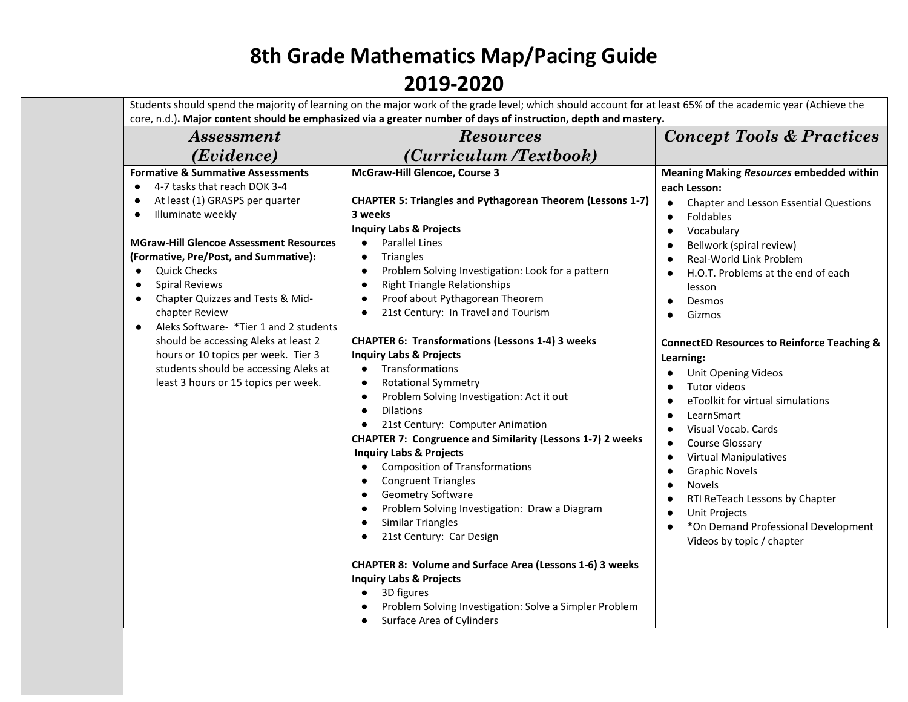|                                                                                                                                                                                                                                                                                                                                                                                                        | Students should spend the majority of learning on the major work of the grade level; which should account for at least 65% of the academic year (Achieve the<br>core, n.d.). Major content should be emphasized via a greater number of days of instruction, depth and mastery.                                                                                                                                                                                                                                                                                                                                                      |                                                                                                                                                                                                                                                                                                                                                                                                                                                                              |
|--------------------------------------------------------------------------------------------------------------------------------------------------------------------------------------------------------------------------------------------------------------------------------------------------------------------------------------------------------------------------------------------------------|--------------------------------------------------------------------------------------------------------------------------------------------------------------------------------------------------------------------------------------------------------------------------------------------------------------------------------------------------------------------------------------------------------------------------------------------------------------------------------------------------------------------------------------------------------------------------------------------------------------------------------------|------------------------------------------------------------------------------------------------------------------------------------------------------------------------------------------------------------------------------------------------------------------------------------------------------------------------------------------------------------------------------------------------------------------------------------------------------------------------------|
| <b>Assessment</b>                                                                                                                                                                                                                                                                                                                                                                                      | <b>Resources</b>                                                                                                                                                                                                                                                                                                                                                                                                                                                                                                                                                                                                                     | <b>Concept Tools &amp; Practices</b>                                                                                                                                                                                                                                                                                                                                                                                                                                         |
| (Evidence)                                                                                                                                                                                                                                                                                                                                                                                             | (Curriculum /Textbook)                                                                                                                                                                                                                                                                                                                                                                                                                                                                                                                                                                                                               |                                                                                                                                                                                                                                                                                                                                                                                                                                                                              |
| <b>Formative &amp; Summative Assessments</b><br>4-7 tasks that reach DOK 3-4<br>$\bullet$<br>At least (1) GRASPS per quarter<br>Illuminate weekly<br>$\bullet$<br><b>MGraw-Hill Glencoe Assessment Resources</b><br>(Formative, Pre/Post, and Summative):<br><b>Quick Checks</b><br>$\bullet$<br><b>Spiral Reviews</b><br>$\bullet$<br>Chapter Quizzes and Tests & Mid-<br>$\bullet$<br>chapter Review | McGraw-Hill Glencoe, Course 3<br><b>CHAPTER 5: Triangles and Pythagorean Theorem (Lessons 1-7)</b><br>3 weeks<br><b>Inquiry Labs &amp; Projects</b><br><b>Parallel Lines</b><br>$\bullet$<br>Triangles<br>$\bullet$<br>Problem Solving Investigation: Look for a pattern<br>$\bullet$<br><b>Right Triangle Relationships</b><br>$\bullet$<br>Proof about Pythagorean Theorem<br>21st Century: In Travel and Tourism                                                                                                                                                                                                                  | <b>Meaning Making Resources embedded within</b><br>each Lesson:<br>Chapter and Lesson Essential Questions<br>Foldables<br>$\bullet$<br>Vocabulary<br>$\bullet$<br>Bellwork (spiral review)<br>Real-World Link Problem<br>H.O.T. Problems at the end of each<br>lesson<br>Desmos<br>$\bullet$                                                                                                                                                                                 |
| Aleks Software- *Tier 1 and 2 students<br>$\bullet$<br>should be accessing Aleks at least 2<br>hours or 10 topics per week. Tier 3<br>students should be accessing Aleks at<br>least 3 hours or 15 topics per week.                                                                                                                                                                                    | <b>CHAPTER 6: Transformations (Lessons 1-4) 3 weeks</b><br><b>Inquiry Labs &amp; Projects</b><br>Transformations<br>$\bullet$<br><b>Rotational Symmetry</b><br>$\bullet$<br>Problem Solving Investigation: Act it out<br><b>Dilations</b><br>21st Century: Computer Animation<br><b>CHAPTER 7: Congruence and Similarity (Lessons 1-7) 2 weeks</b><br><b>Inquiry Labs &amp; Projects</b><br><b>Composition of Transformations</b><br><b>Congruent Triangles</b><br>$\bullet$<br>Geometry Software<br>$\bullet$<br>Problem Solving Investigation: Draw a Diagram<br>$\bullet$<br><b>Similar Triangles</b><br>21st Century: Car Design | Gizmos<br>$\bullet$<br><b>ConnectED Resources to Reinforce Teaching &amp;</b><br>Learning:<br><b>Unit Opening Videos</b><br>Tutor videos<br>eToolkit for virtual simulations<br>LearnSmart<br>Visual Vocab, Cards<br>Course Glossary<br><b>Virtual Manipulatives</b><br>$\bullet$<br><b>Graphic Novels</b><br>$\bullet$<br>Novels<br>$\bullet$<br>RTI ReTeach Lessons by Chapter<br><b>Unit Projects</b><br>*On Demand Professional Development<br>Videos by topic / chapter |
|                                                                                                                                                                                                                                                                                                                                                                                                        | <b>CHAPTER 8: Volume and Surface Area (Lessons 1-6) 3 weeks</b><br><b>Inquiry Labs &amp; Projects</b><br>3D figures<br>$\bullet$<br>Problem Solving Investigation: Solve a Simpler Problem<br>Surface Area of Cylinders<br>$\bullet$                                                                                                                                                                                                                                                                                                                                                                                                 |                                                                                                                                                                                                                                                                                                                                                                                                                                                                              |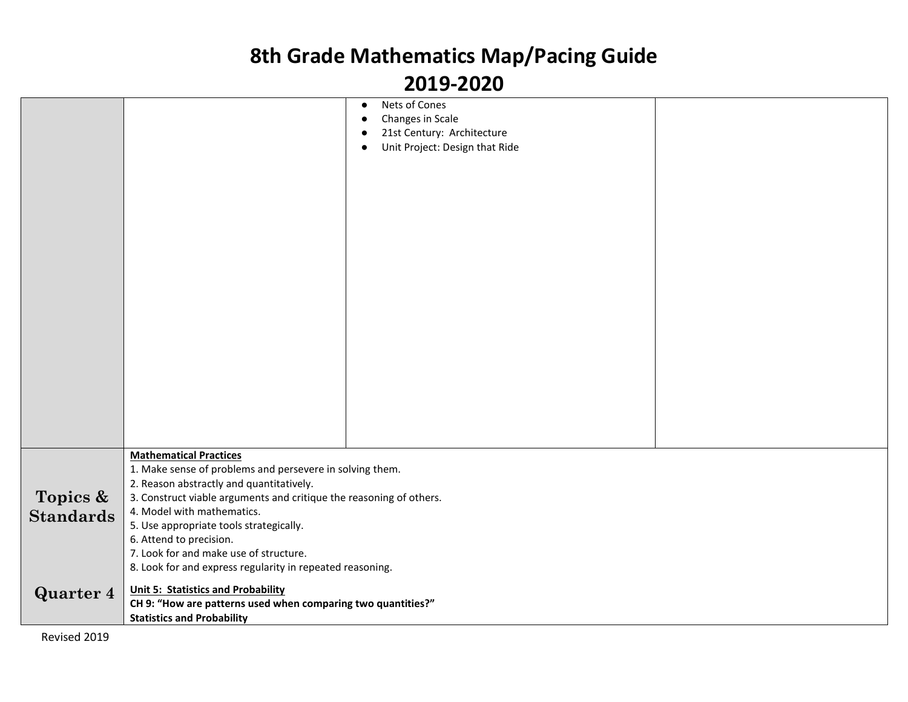| Nets of Cones<br>$\bullet$                                                       |  |
|----------------------------------------------------------------------------------|--|
| Changes in Scale<br>$\bullet$                                                    |  |
| 21st Century: Architecture                                                       |  |
| Unit Project: Design that Ride<br>$\bullet$                                      |  |
|                                                                                  |  |
|                                                                                  |  |
|                                                                                  |  |
|                                                                                  |  |
|                                                                                  |  |
|                                                                                  |  |
|                                                                                  |  |
|                                                                                  |  |
|                                                                                  |  |
|                                                                                  |  |
|                                                                                  |  |
|                                                                                  |  |
|                                                                                  |  |
|                                                                                  |  |
|                                                                                  |  |
|                                                                                  |  |
|                                                                                  |  |
|                                                                                  |  |
|                                                                                  |  |
|                                                                                  |  |
|                                                                                  |  |
| <b>Mathematical Practices</b>                                                    |  |
| 1. Make sense of problems and persevere in solving them.                         |  |
| 2. Reason abstractly and quantitatively.                                         |  |
| Topics &<br>3. Construct viable arguments and critique the reasoning of others.  |  |
| 4. Model with mathematics.<br><b>Standards</b>                                   |  |
| 5. Use appropriate tools strategically.                                          |  |
| 6. Attend to precision.                                                          |  |
| 7. Look for and make use of structure.                                           |  |
| 8. Look for and express regularity in repeated reasoning.                        |  |
| <b>Unit 5: Statistics and Probability</b>                                        |  |
| <b>Quarter 4</b><br>CH 9: "How are patterns used when comparing two quantities?" |  |
| <b>Statistics and Probability</b>                                                |  |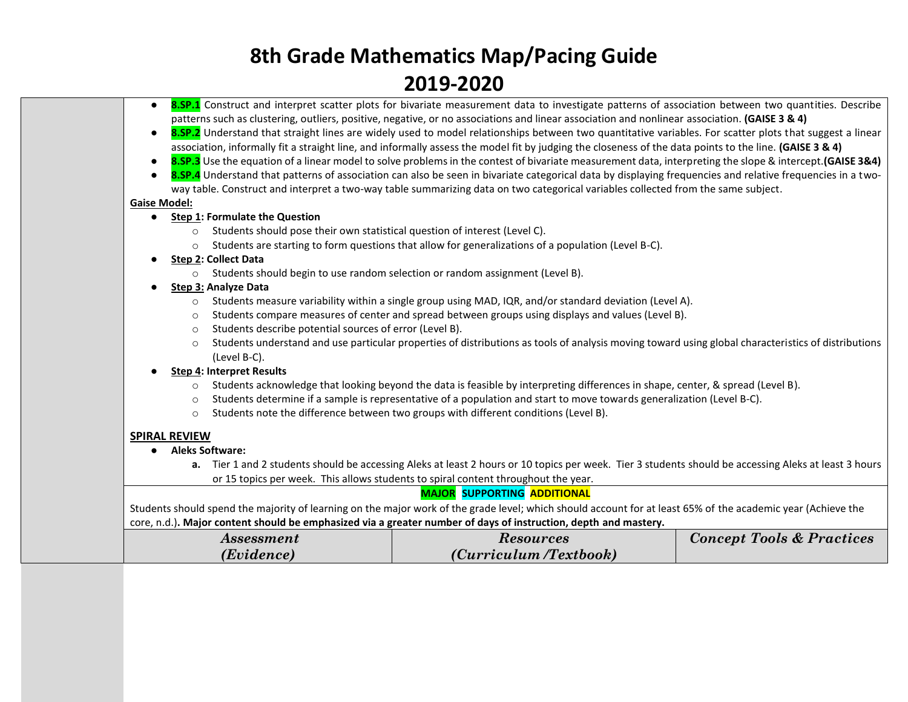- **8.SP.1** Construct and interpret scatter plots for bivariate measurement data to investigate patterns of association between two quantities. Describe patterns such as clustering, outliers, positive, negative, or no associations and linear association and nonlinear association. **(GAISE 3 & 4)**
- **8.SP.2** Understand that straight lines are widely used to model relationships between two quantitative variables. For scatter plots that suggest a linear association, informally fit a straight line, and informally assess the model fit by judging the closeness of the data points to the line. **(GAISE 3 & 4)**
- **8.SP.3** Use the equation of a linear model to solve problems in the contest of bivariate measurement data, interpreting the slope & intercept.**(GAISE 3&4)**
- 8.SP.4 Understand that patterns of association can also be seen in bivariate categorical data by displaying frequencies and relative frequencies in a twoway table. Construct and interpret a two-way table summarizing data on two categorical variables collected from the same subject.

#### **Gaise Model:**

- **Step 1: Formulate the Question**
	- o Students should pose their own statistical question of interest (Level C).
	- o Students are starting to form questions that allow for generalizations of a population (Level B-C).
- **Step 2: Collect Data**
	- o Students should begin to use random selection or random assignment (Level B).
- **Step 3: Analyze Data**
	- $\circ$  Students measure variability within a single group using MAD, IQR, and/or standard deviation (Level A).
	- o Students compare measures of center and spread between groups using displays and values (Level B).
	- o Students describe potential sources of error (Level B).
	- $\circ$  Students understand and use particular properties of distributions as tools of analysis moving toward using global characteristics of distributions (Level B-C).

#### **Step 4: Interpret Results**

- $\circ$  Students acknowledge that looking beyond the data is feasible by interpreting differences in shape, center, & spread (Level B).
- $\circ$  Students determine if a sample is representative of a population and start to move towards generalization (Level B-C).
- $\circ$  Students note the difference between two groups with different conditions (Level B).

#### **SPIRAL REVIEW**

- **Aleks Software:**
	- **a.** Tier 1 and 2 students should be accessing Aleks at least 2 hours or 10 topics per week. Tier 3 students should be accessing Aleks at least 3 hours or 15 topics per week. This allows students to spiral content throughout the year.

#### **MAJOR SUPPORTING ADDITIONAL**

Students should spend the majority of learning on the major work of the grade level; which should account for at least 65% of the academic year (Achieve the core, n.d.)**. Major content should be emphasized via a greater number of days of instruction, depth and mastery.**

| <i>Assessment</i> | <i><b>Resources</b></i> | <b>Concept Tools &amp; Practices</b> |
|-------------------|-------------------------|--------------------------------------|
| (Evidence)        | (Curriculum /Textbook)  |                                      |